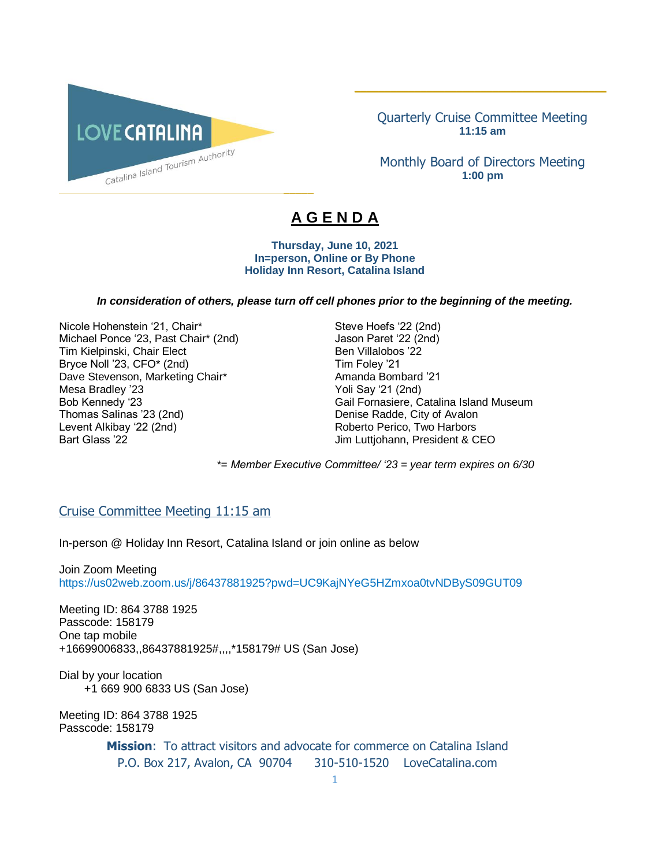

Quarterly Cruise Committee Meeting **11:15 am**

\_\_\_\_\_\_\_\_\_\_\_\_\_\_\_\_\_\_\_\_\_\_\_\_\_\_\_\_\_\_\_\_\_\_\_\_\_\_\_\_\_\_

Monthly Board of Directors Meeting **1:00 pm**

# **A G E N D A**

 $\overline{\phantom{a}}$ 

#### **Thursday, June 10, 2021 In=person, Online or By Phone Holiday Inn Resort, Catalina Island**

#### *In consideration of others, please turn off cell phones prior to the beginning of the meeting.*

Nicole Hohenstein '21, Chair\* Steve Hoefs '22 (2nd) Michael Ponce '23, Past Chair\* (2nd) Jason Paret '22 (2nd) Tim Kielpinski, Chair Elect Ben Villalobos '22 Bryce Noll '23, CFO\* (2nd) Tim Foley '21 Dave Stevenson, Marketing Chair\* The Chair Amanda Bombard '21 Mesa Bradley '23 Yoli Say '21 (2nd) Thomas Salinas '23 (2nd)<br>
Levent Alkibay '22 (2nd)<br>
Levent Alkibay '22 (2nd)<br>
Conservation Supplement Conservation Conservation Conservation Conservation Conservation Conservation Conservation Conservation Conservation Con Bart Glass '22 Jim Luttjohann, President & CEO

Bob Kennedy '23 Gail Fornasiere, Catalina Island Museum Roberto Perico, Two Harbors

*\*= Member Executive Committee/ '23 = year term expires on 6/30* 

#### Cruise Committee Meeting 11:15 am

In-person @ Holiday Inn Resort, Catalina Island or join online as below

#### Join Zoom Meeting https://us02web.zoom.us/j/86437881925?pwd=UC9KajNYeG5HZmxoa0tvNDByS09GUT09

Meeting ID: 864 3788 1925 Passcode: 158179 One tap mobile +16699006833,,86437881925#,,,,\*158179# US (San Jose)

Dial by your location +1 669 900 6833 US (San Jose)

Meeting ID: 864 3788 1925 Passcode: 158179

> **Mission**: To attract visitors and advocate for commerce on Catalina Island P.O. Box 217, Avalon, CA 90704 310-510-1520 LoveCatalina.com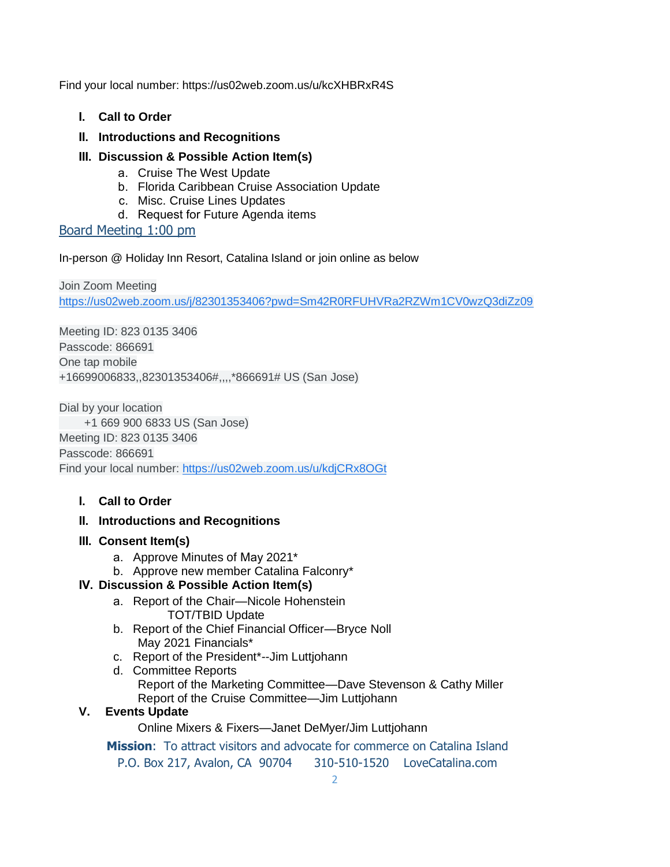Find your local number: https://us02web.zoom.us/u/kcXHBRxR4S

- **I. Call to Order**
- **II. Introductions and Recognitions**
- **III. Discussion & Possible Action Item(s)**
	- a. Cruise The West Update
	- b. Florida Caribbean Cruise Association Update
	- c. Misc. Cruise Lines Updates
	- d. Request for Future Agenda items

## Board Meeting 1:00 pm

In-person @ Holiday Inn Resort, Catalina Island or join online as below

Join Zoom Meeting [https://us02web.zoom.us/j/82301353406?pwd=Sm42R0RFUHVRa2RZWm1CV0wzQ3diZz09](https://www.google.com/url?q=https://us02web.zoom.us/j/82301353406?pwd%3DSm42R0RFUHVRa2RZWm1CV0wzQ3diZz09&sa=D&source=calendar&ust=1615520592838000&usg=AOvVaw2YOhWUTEJgTHZ7_ay-dgZd)

Meeting ID: 823 0135 3406 Passcode: 866691 One tap mobile +16699006833,,82301353406#,,,,\*866691# US (San Jose)

Dial by your location +1 669 900 6833 US (San Jose) Meeting ID: 823 0135 3406 Passcode: 866691 Find your local number: [https://us02web.zoom.us/u/kdjCRx8OGt](https://www.google.com/url?q=https://us02web.zoom.us/u/kdjCRx8OGt&sa=D&source=calendar&ust=1615520592838000&usg=AOvVaw2gwBpPGmW2ln1ZL1spFK5e)

**I. Call to Order**

# **II. Introductions and Recognitions**

- **III. Consent Item(s)**
	- a. Approve Minutes of May 2021\*
	- b. Approve new member Catalina Falconry\*

# **IV. Discussion & Possible Action Item(s)**

- a. Report of the Chair—Nicole Hohenstein TOT/TBID Update
- b. Report of the Chief Financial Officer—Bryce Noll May 2021 Financials\*
- c. Report of the President\*--Jim Luttjohann
- d. Committee Reports Report of the Marketing Committee—Dave Stevenson & Cathy Miller Report of the Cruise Committee—Jim Luttjohann

### **V. Events Update**

Online Mixers & Fixers—Janet DeMyer/Jim Luttjohann

**Mission**: To attract visitors and advocate for commerce on Catalina Island P.O. Box 217, Avalon, CA 90704 310-510-1520 LoveCatalina.com